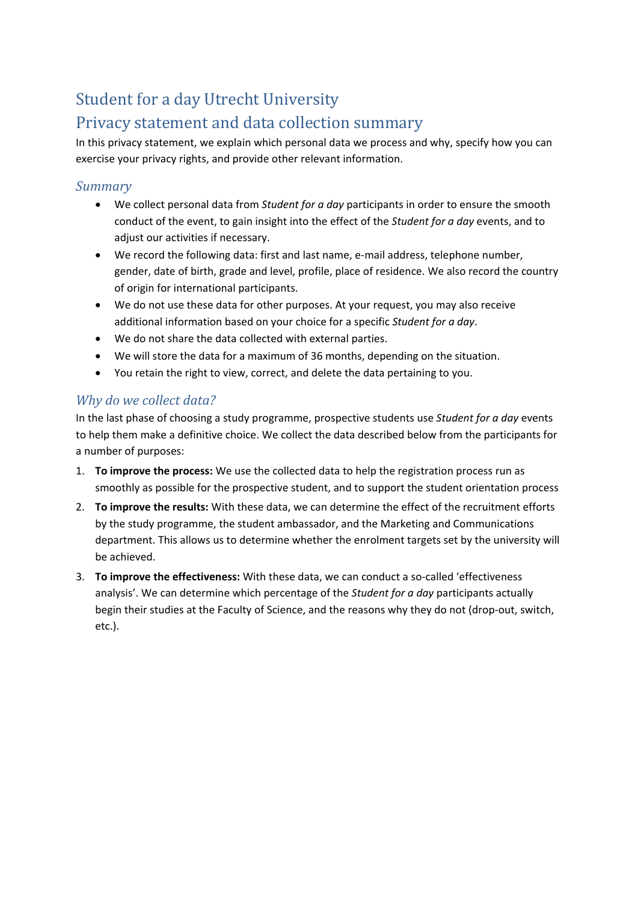# Student for a day Utrecht University

## Privacy statement and data collection summary

In this privacy statement, we explain which personal data we process and why, specify how you can exercise your privacy rights, and provide other relevant information.

#### *Summary*

- We collect personal data from *Student for a day* participants in order to ensure the smooth conduct of the event, to gain insight into the effect of the *Student for a day* events, and to adjust our activities if necessary.
- We record the following data: first and last name, e-mail address, telephone number, gender, date of birth, grade and level, profile, place of residence. We also record the country of origin for international participants.
- We do not use these data for other purposes. At your request, you may also receive additional information based on your choice for a specific *Student for a day*.
- We do not share the data collected with external parties.
- We will store the data for a maximum of 36 months, depending on the situation.
- You retain the right to view, correct, and delete the data pertaining to you.

#### *Why do we collect data?*

In the last phase of choosing a study programme, prospective students use *Student for a day* events to help them make a definitive choice. We collect the data described below from the participants for a number of purposes:

- 1. **To improve the process:** We use the collected data to help the registration process run as smoothly as possible for the prospective student, and to support the student orientation process
- 2. **To improve the results:** With these data, we can determine the effect of the recruitment efforts by the study programme, the student ambassador, and the Marketing and Communications department. This allows us to determine whether the enrolment targets set by the university will be achieved.
- 3. **To improve the effectiveness:** With these data, we can conduct a so-called 'effectiveness analysis'. We can determine which percentage of the *Student for a day* participants actually begin their studies at the Faculty of Science, and the reasons why they do not (drop-out, switch, etc.).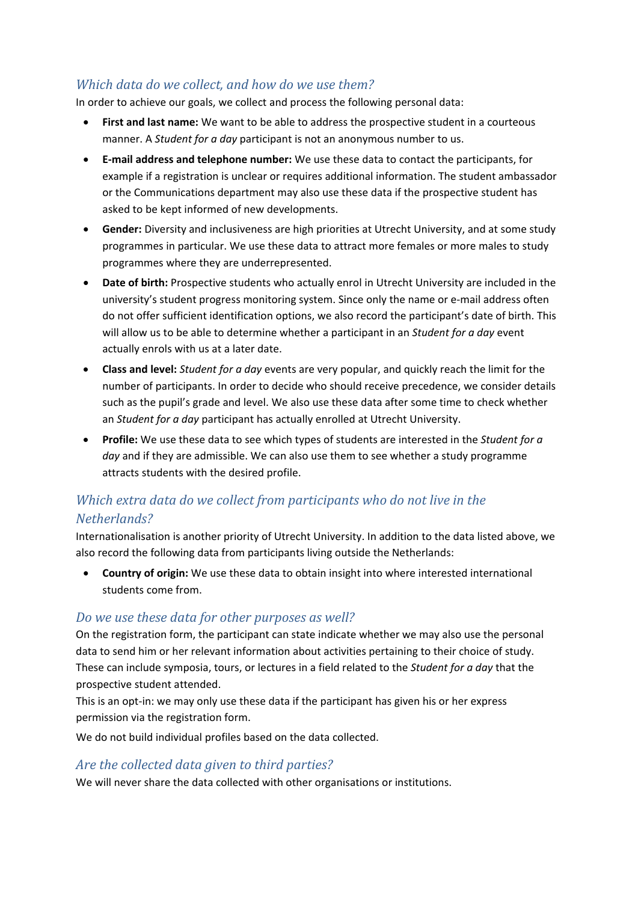#### *Which data do we collect, and how do we use them?*

In order to achieve our goals, we collect and process the following personal data:

- **First and last name:** We want to be able to address the prospective student in a courteous manner. A *Student for a day* participant is not an anonymous number to us.
- **E-mail address and telephone number:** We use these data to contact the participants, for example if a registration is unclear or requires additional information. The student ambassador or the Communications department may also use these data if the prospective student has asked to be kept informed of new developments.
- **Gender:** Diversity and inclusiveness are high priorities at Utrecht University, and at some study programmes in particular. We use these data to attract more females or more males to study programmes where they are underrepresented.
- **Date of birth:** Prospective students who actually enrol in Utrecht University are included in the university's student progress monitoring system. Since only the name or e-mail address often do not offer sufficient identification options, we also record the participant's date of birth. This will allow us to be able to determine whether a participant in an *Student for a day* event actually enrols with us at a later date.
- **Class and level:** *Student for a day* events are very popular, and quickly reach the limit for the number of participants. In order to decide who should receive precedence, we consider details such as the pupil's grade and level. We also use these data after some time to check whether an *Student for a day* participant has actually enrolled at Utrecht University.
- **Profile:** We use these data to see which types of students are interested in the *Student for a day* and if they are admissible. We can also use them to see whether a study programme attracts students with the desired profile.

### *Which extra data do we collect from participants who do not live in the Netherlands?*

Internationalisation is another priority of Utrecht University. In addition to the data listed above, we also record the following data from participants living outside the Netherlands:

• **Country of origin:** We use these data to obtain insight into where interested international students come from.

#### *Do we use these data for other purposes as well?*

On the registration form, the participant can state indicate whether we may also use the personal data to send him or her relevant information about activities pertaining to their choice of study. These can include symposia, tours, or lectures in a field related to the *Student for a day* that the prospective student attended.

This is an opt-in: we may only use these data if the participant has given his or her express permission via the registration form.

We do not build individual profiles based on the data collected.

#### *Are the collected data given to third parties?*

We will never share the data collected with other organisations or institutions.